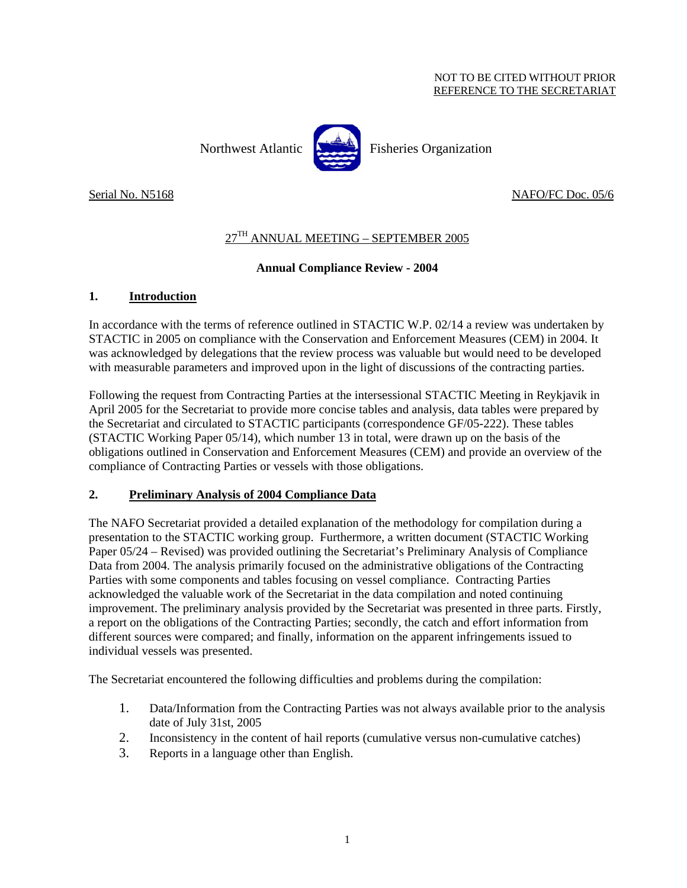#### NOT TO BE CITED WITHOUT PRIOR REFERENCE TO THE SECRETARIAT

Northwest Atlantic Fisheries Organization

Serial No. N5168 NAFO/FC Doc. 05/6

# 27TH ANNUAL MEETING – SEPTEMBER 2005

## **Annual Compliance Review - 2004**

## **1. Introduction**

In accordance with the terms of reference outlined in STACTIC W.P. 02/14 a review was undertaken by STACTIC in 2005 on compliance with the Conservation and Enforcement Measures (CEM) in 2004. It was acknowledged by delegations that the review process was valuable but would need to be developed with measurable parameters and improved upon in the light of discussions of the contracting parties.

Following the request from Contracting Parties at the intersessional STACTIC Meeting in Reykjavik in April 2005 for the Secretariat to provide more concise tables and analysis, data tables were prepared by the Secretariat and circulated to STACTIC participants (correspondence GF/05-222). These tables (STACTIC Working Paper 05/14), which number 13 in total, were drawn up on the basis of the obligations outlined in Conservation and Enforcement Measures (CEM) and provide an overview of the compliance of Contracting Parties or vessels with those obligations.

## **2. Preliminary Analysis of 2004 Compliance Data**

The NAFO Secretariat provided a detailed explanation of the methodology for compilation during a presentation to the STACTIC working group. Furthermore, a written document (STACTIC Working Paper 05/24 – Revised) was provided outlining the Secretariat's Preliminary Analysis of Compliance Data from 2004. The analysis primarily focused on the administrative obligations of the Contracting Parties with some components and tables focusing on vessel compliance. Contracting Parties acknowledged the valuable work of the Secretariat in the data compilation and noted continuing improvement. The preliminary analysis provided by the Secretariat was presented in three parts. Firstly, a report on the obligations of the Contracting Parties; secondly, the catch and effort information from different sources were compared; and finally, information on the apparent infringements issued to individual vessels was presented.

The Secretariat encountered the following difficulties and problems during the compilation:

- 1. Data/Information from the Contracting Parties was not always available prior to the analysis date of July 31st, 2005
- 2. Inconsistency in the content of hail reports (cumulative versus non-cumulative catches)
- 3. Reports in a language other than English.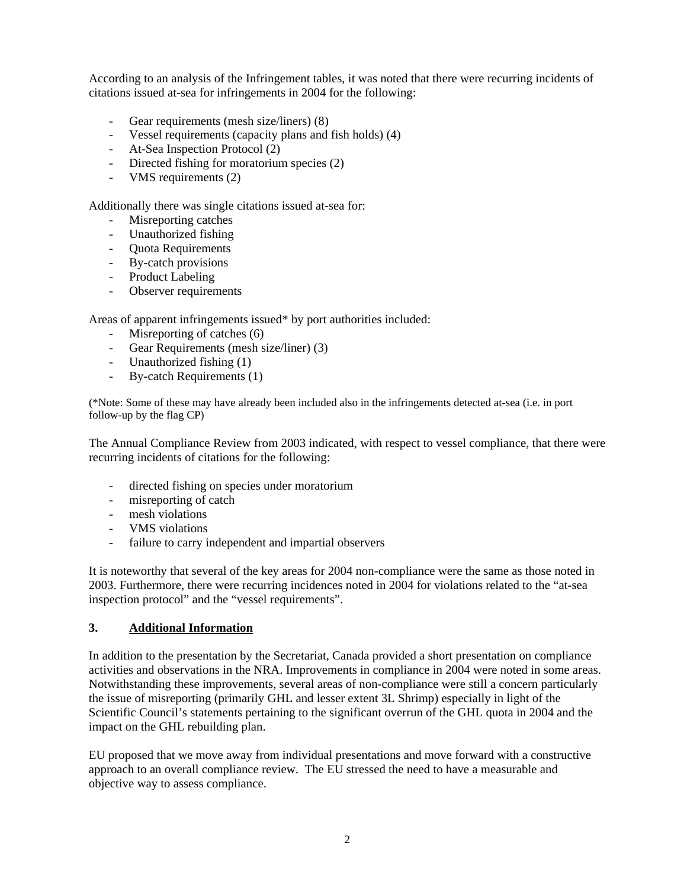According to an analysis of the Infringement tables, it was noted that there were recurring incidents of citations issued at-sea for infringements in 2004 for the following:

- Gear requirements (mesh size/liners) (8)
- Vessel requirements (capacity plans and fish holds) (4)
- At-Sea Inspection Protocol (2)
- Directed fishing for moratorium species (2)
- VMS requirements (2)

Additionally there was single citations issued at-sea for:

- Misreporting catches
- Unauthorized fishing
- Quota Requirements
- By-catch provisions
- Product Labeling
- Observer requirements

Areas of apparent infringements issued\* by port authorities included:

- Misreporting of catches (6)
- Gear Requirements (mesh size/liner) (3)
- Unauthorized fishing (1)
- By-catch Requirements (1)

(\*Note: Some of these may have already been included also in the infringements detected at-sea (i.e. in port follow-up by the flag CP)

The Annual Compliance Review from 2003 indicated, with respect to vessel compliance, that there were recurring incidents of citations for the following:

- directed fishing on species under moratorium
- misreporting of catch
- mesh violations
- VMS violations
- failure to carry independent and impartial observers

It is noteworthy that several of the key areas for 2004 non-compliance were the same as those noted in 2003. Furthermore, there were recurring incidences noted in 2004 for violations related to the "at-sea inspection protocol" and the "vessel requirements".

#### **3. Additional Information**

In addition to the presentation by the Secretariat, Canada provided a short presentation on compliance activities and observations in the NRA. Improvements in compliance in 2004 were noted in some areas. Notwithstanding these improvements, several areas of non-compliance were still a concern particularly the issue of misreporting (primarily GHL and lesser extent 3L Shrimp) especially in light of the Scientific Council's statements pertaining to the significant overrun of the GHL quota in 2004 and the impact on the GHL rebuilding plan.

EU proposed that we move away from individual presentations and move forward with a constructive approach to an overall compliance review. The EU stressed the need to have a measurable and objective way to assess compliance.